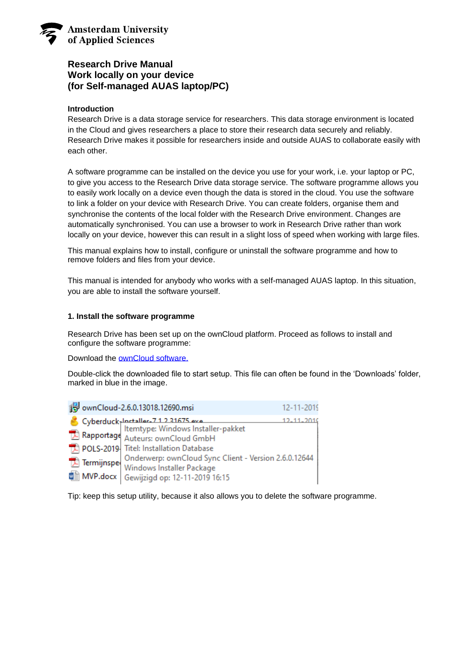

# **Research Drive Manual Work locally on your device (for Self-managed AUAS laptop/PC)**

## **Introduction**

Research Drive is a data storage service for researchers. This data storage environment is located in the Cloud and gives researchers a place to store their research data securely and reliably. Research Drive makes it possible for researchers inside and outside AUAS to collaborate easily with each other.

A software programme can be installed on the device you use for your work, i.e. your laptop or PC, to give you access to the Research Drive data storage service. The software programme allows you to easily work locally on a device even though the data is stored in the cloud. You use the software to link a folder on your device with Research Drive. You can create folders, organise them and synchronise the contents of the local folder with the Research Drive environment. Changes are automatically synchronised. You can use a browser to work in Research Drive rather than work locally on your device, however this can result in a slight loss of speed when working with large files.

This manual explains how to install, configure or uninstall the software programme and how to remove folders and files from your device.

This manual is intended for anybody who works with a self-managed AUAS laptop. In this situation, you are able to install the software yourself.

### **1. Install the software programme**

Research Drive has been set up on the ownCloud platform. Proceed as follows to install and configure the software programme:

Download the **ownCloud software.** 

Double-click the downloaded file to start setup. This file can often be found in the 'Downloads' folder, marked in blue in the image.

| ownCloud-2.6.0.13018.12690.msi                                                                                                                                                                                                                                                                                  | 12-11-2019 |
|-----------------------------------------------------------------------------------------------------------------------------------------------------------------------------------------------------------------------------------------------------------------------------------------------------------------|------------|
| Cyberduck-Installer-71231675 exertion of Cyberduck-Installer-pakket<br>Rapportage Auteurs: ownCloud GmbH<br><b>The POLS-2019</b> Titel: Installation Database<br>Onderwerp: ownCloud Sync Client - Version 2.6.0.12644<br>Termijnspe<br>Windows Installer Package<br>MVP.docx<br>Gewijzigd op: 12-11-2019 16:15 |            |

Tip: keep this setup utility, because it also allows you to delete the software programme.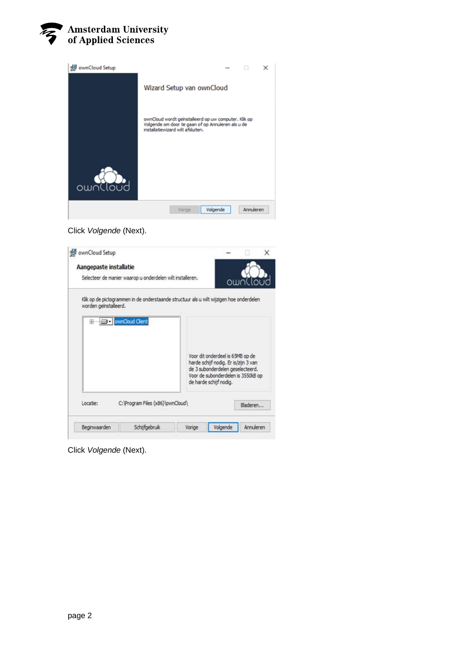



Click *Volgende* (Next).

|                        |                                                                                                            |                                                                                                                                          |          | x |
|------------------------|------------------------------------------------------------------------------------------------------------|------------------------------------------------------------------------------------------------------------------------------------------|----------|---|
| Aangepaste installatie |                                                                                                            |                                                                                                                                          |          |   |
|                        | Selecteer de manier waarop u onderdelen wilt installeren.                                                  |                                                                                                                                          | ownlloud |   |
| worden geïnstalleerd.  | Klik op de pictogrammen in de onderstaande structuur als u wilt wijzigen hoe onderdelen<br>ownCloud Client |                                                                                                                                          |          |   |
|                        |                                                                                                            | Voor dit onderdeel is 65MB op de                                                                                                         |          |   |
|                        |                                                                                                            | harde schijf nodig. Er is/zijn 3 van<br>de 3 subonderdelen geselecteerd.<br>Voor de subonderdelen is 3550kB op<br>de harde schijf nodig. |          |   |
| Locatie:               | C: \Program Files (x86)\pwnCloud\                                                                          |                                                                                                                                          | Bladeren |   |

Click *Volgende* (Next).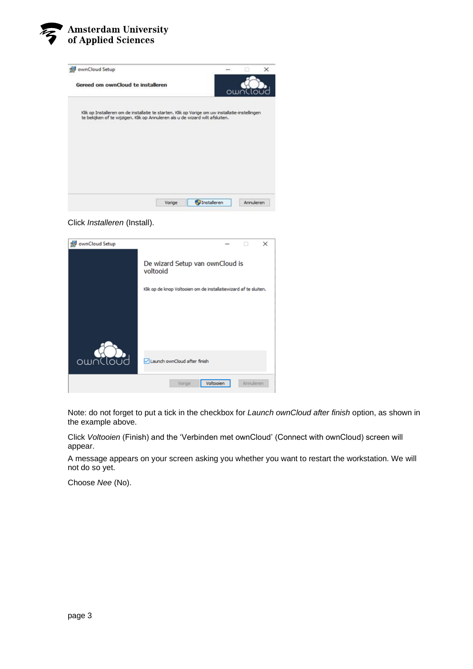



Click *Installeren* (Install).

| ownCloud Setup | $\times$                                                         |
|----------------|------------------------------------------------------------------|
|                | De wizard Setup van ownCloud is<br>voltooid                      |
|                | Klik op de knop Voltooien om de installatiewizard af te sluiten. |
|                |                                                                  |
|                |                                                                  |
|                |                                                                  |
| ownCloud       | Launch ownCloud after finish                                     |
|                | Voltooien<br>Annuleren<br>Vorige                                 |

Note: do not forget to put a tick in the checkbox for *Launch ownCloud after finish* option, as shown in the example above.

Click *Voltooien* (Finish) and the 'Verbinden met ownCloud' (Connect with ownCloud) screen will appear.

A message appears on your screen asking you whether you want to restart the workstation. We will not do so yet.

Choose *Nee* (No).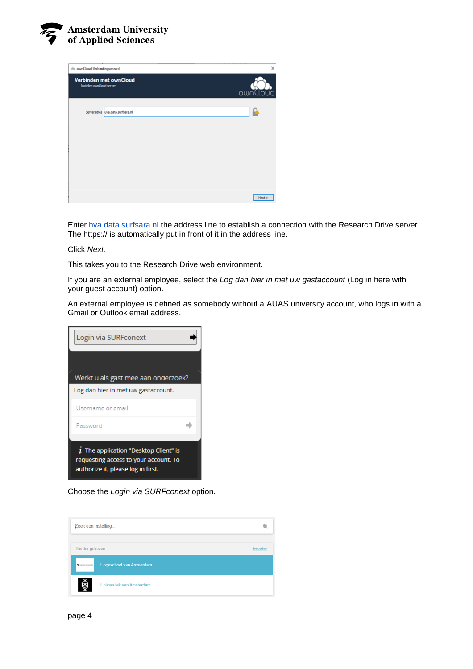

| dill ownCloud Verbindingswizard |                                    | ×        |
|---------------------------------|------------------------------------|----------|
| Instellen ownCloud server       | Verbinden met ownCloud             | ownCloud |
|                                 | Serveradres   uva.data.surfsara.nl |          |
|                                 |                                    |          |
|                                 |                                    |          |
|                                 |                                    |          |
|                                 |                                    | Next     |

Enter [hva.data.surfsara.nl](http://uva.data.surfsara.nl/) the address line to establish a connection with the Research Drive server. The https:// is automatically put in front of it in the address line.

Click *Next.*

This takes you to the Research Drive web environment.

If you are an external employee, select the *Log dan hier in met uw gastaccount* (Log in here with your guest account) option.

An external employee is defined as somebody without a AUAS university account, who logs in with a Gmail or Outlook email address.

| Login via SURFconext                                                                                                   |  |  |
|------------------------------------------------------------------------------------------------------------------------|--|--|
|                                                                                                                        |  |  |
| Werkt u als gast mee aan onderzoek?<br>Log dan hier in met uw gastaccount.                                             |  |  |
| Username or email                                                                                                      |  |  |
| Password                                                                                                               |  |  |
|                                                                                                                        |  |  |
| $i$ The application "Desktop Client" is<br>requesting access to your account. To<br>authorize it, please log in first. |  |  |

Choose the *Login via SURFconext* option.

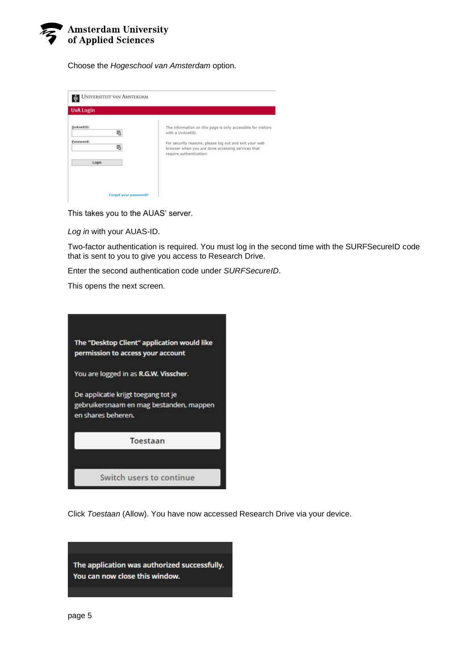

Choose the *Hogeschool van Amsterdam* option.

| The information on this page is only accessible for visitors<br>with a UvAnetID.                                                       |
|----------------------------------------------------------------------------------------------------------------------------------------|
| For security reasons, please log out and exit your web<br>browser when you are done accessing services that<br>require authentication! |
|                                                                                                                                        |
|                                                                                                                                        |
|                                                                                                                                        |

This takes you to the AUAS' server.

*Log in* with your AUAS-ID.

Two-factor authentication is required. You must log in the second time with the SURFSecureID code that is sent to you to give you access to Research Drive.

Enter the second authentication code under *SURFSecureID*.

This opens the next screen.



Click *Toestaan* (Allow). You have now accessed Research Drive via your device.

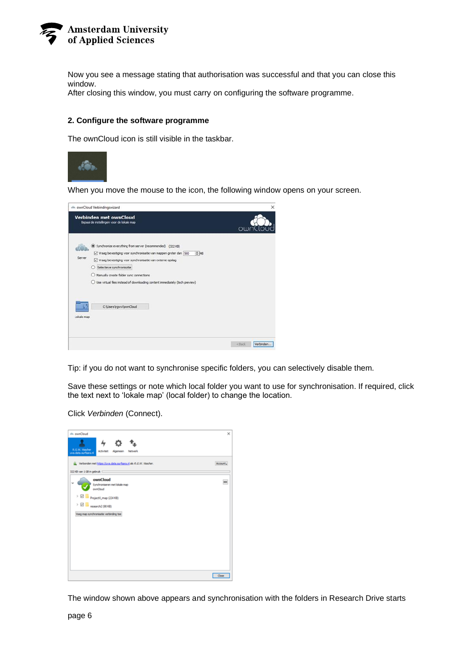

Now you see a message stating that authorisation was successful and that you can close this window.

After closing this window, you must carry on configuring the software programme.

#### **2. Configure the software programme**

The ownCloud icon is still visible in the taskbar.



When you move the mouse to the icon, the following window opens on your screen.

|                                                                                                                                                                                                                                                                                                                                                                                     | owr |
|-------------------------------------------------------------------------------------------------------------------------------------------------------------------------------------------------------------------------------------------------------------------------------------------------------------------------------------------------------------------------------------|-----|
| (a) Synchronize everything from server (recommended) (322 KB)<br>218<br>Vraag bevestiging voor synchronisatie van mappen groter dan 500<br>Server<br>Vraag bevestiging voor synchronisatie van externe opslag<br>$O$ Selectieve synchronisatie<br>Manually create folder sync connections<br>$\bigcirc$ Use virtual files instead of downloading content immediately (tech preview) |     |
| C:\Users\rgwvi\pwnCloud<br>Lokale map                                                                                                                                                                                                                                                                                                                                               |     |

Tip: if you do not want to synchronise specific folders, you can selectively disable them.

Save these settings or note which local folder you want to use for synchronisation. If required, click the text next to 'lokale map' (local folder) to change the location.

Click *Verbinden* (Connect).



The window shown above appears and synchronisation with the folders in Research Drive starts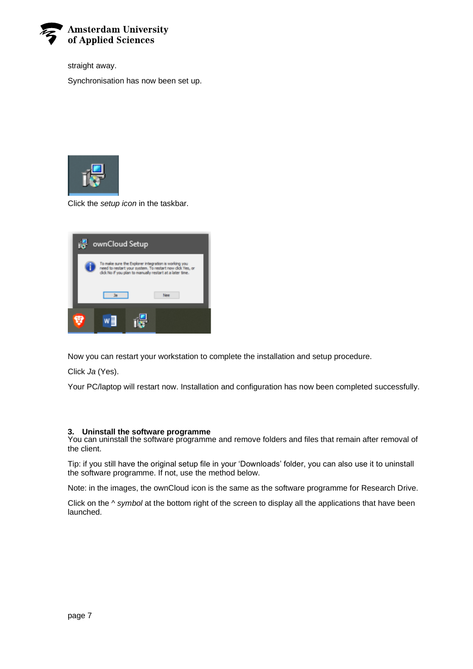

straight away.

Synchronisation has now been set up.



Click the *setup icon* in the taskbar.



Now you can restart your workstation to complete the installation and setup procedure.

Click *Ja* (Yes).

Your PC/laptop will restart now. Installation and configuration has now been completed successfully.

### **3. Uninstall the software programme**

You can uninstall the software programme and remove folders and files that remain after removal of the client.

Tip: if you still have the original setup file in your 'Downloads' folder, you can also use it to uninstall the software programme. If not, use the method below.

Note: in the images, the ownCloud icon is the same as the software programme for Research Drive.

Click on the *^ symbol* at the bottom right of the screen to display all the applications that have been launched.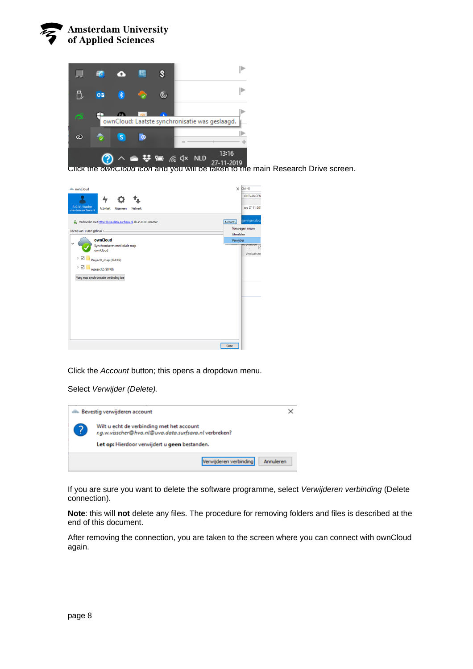



Click the *ownCloud icon* and you will be taken to the main Research Drive screen.



Click the *Account* button; this opens a dropdown menu.

Select *Verwijder (Delete).*



If you are sure you want to delete the software programme, select *Verwijderen verbinding* (Delete connection).

**Note**: this will **not** delete any files. The procedure for removing folders and files is described at the end of this document.

After removing the connection, you are taken to the screen where you can connect with ownCloud again.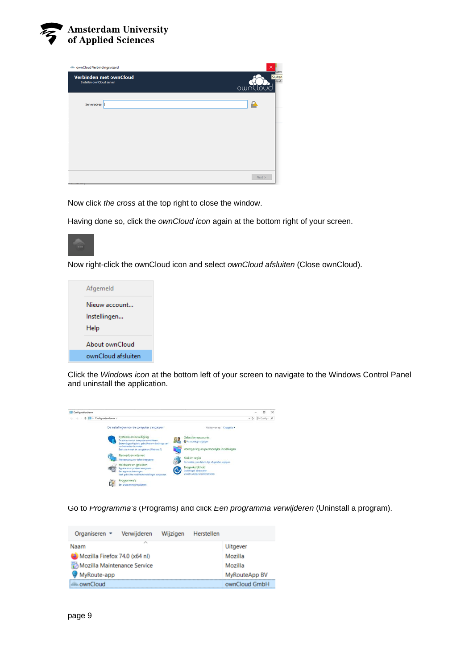

| dill ownCloud Verbindingswizard                     | ×                             |
|-----------------------------------------------------|-------------------------------|
| Verbinden met ownCloud<br>Instellen ownCloud server | Sluiten<br>laatsi<br>ownCloud |
| Serveradres                                         |                               |
|                                                     |                               |
|                                                     |                               |
|                                                     |                               |
|                                                     | Next                          |

Now click *the cross* at the top right to close the window.

Having done so, click the *ownCloud icon* again at the bottom right of your screen.



Now right-click the ownCloud icon and select *ownCloud afsluiten* (Close ownCloud).



Click the *Windows icon* at the bottom left of your screen to navigate to the Windows Control Panel and uninstall the application.



Go to *Programma's* (Programs) and click *Een programma verwijderen* (Uninstall a program).

| Organiseren $\star$           | Verwijderen           | Wijzigen | Herstellen |                 |
|-------------------------------|-----------------------|----------|------------|-----------------|
| Naam                          | $\tilde{\phantom{a}}$ |          |            | <b>Uitgever</b> |
| Mozilla Firefox 74.0 (x64 nl) |                       |          |            | Mozilla         |
| Mozilla Maintenance Service   |                       |          |            | Mozilla         |
| MyRoute-app                   |                       |          |            | MyRouteApp BV   |
| ownCloud                      |                       |          |            | ownCloud GmbH   |